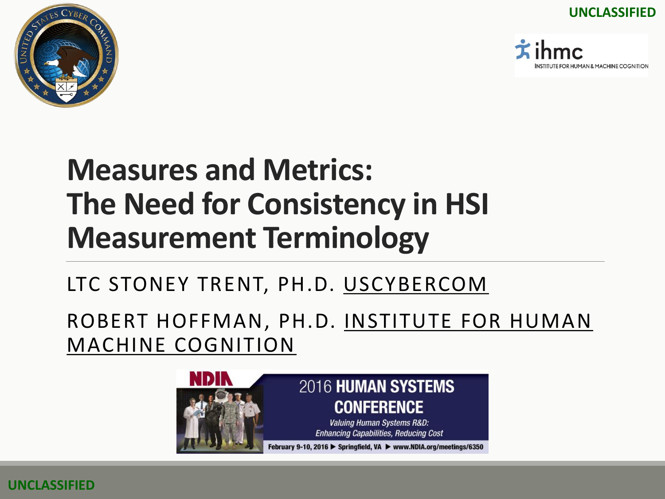**UNCLASSIFIED**





### **Measures and Metrics: The Need for Consistency in HSI Measurement Terminology**

#### LTC STONEY TRENT, PH.D. USCYBERCOM

ROBERT HOFFMAN, PH.D. INSTITUTE FOR HUMAN MACHINE COGNITION



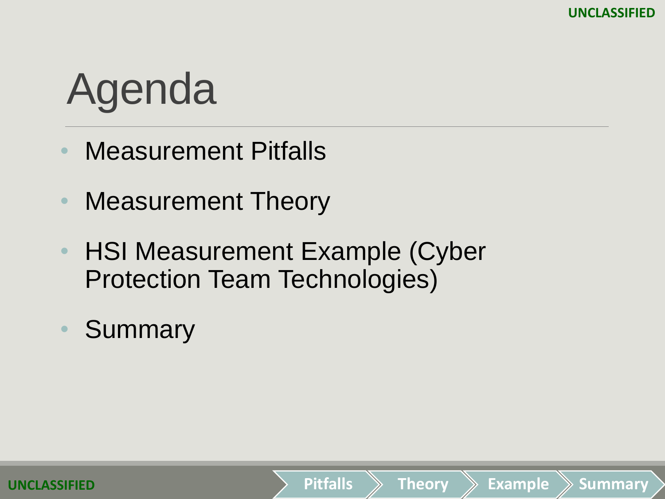**Pitfalls Theory Example Summary**

# Agenda

- Measurement Pitfalls
- Measurement Theory
- HSI Measurement Example (Cyber Protection Team Technologies)
- **Summary**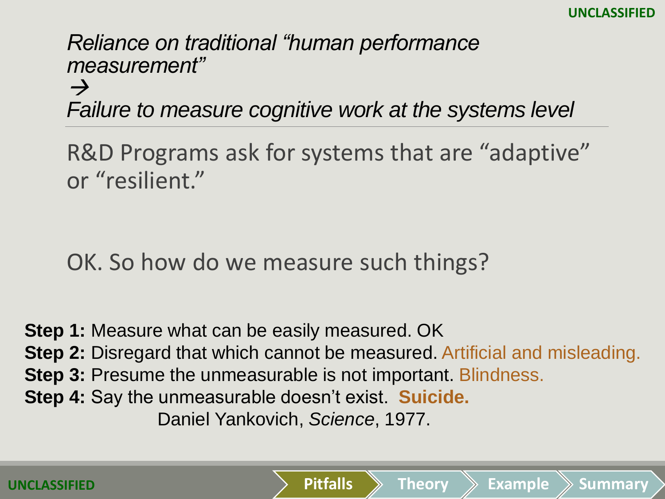*Reliance on traditional "human performance measurement"* 

 $\rightarrow$ *Failure to measure cognitive work at the systems level*

R&D Programs ask for systems that are "adaptive" or "resilient."

OK. So how do we measure such things?

**Step 1:** Measure what can be easily measured. OK **Step 2:** Disregard that which cannot be measured. Artificial and misleading. **Step 3: Presume the unmeasurable is not important. Blindness. Step 4:** Say the unmeasurable doesn't exist. **Suicide.**  Daniel Yankovich, *Science*, 1977.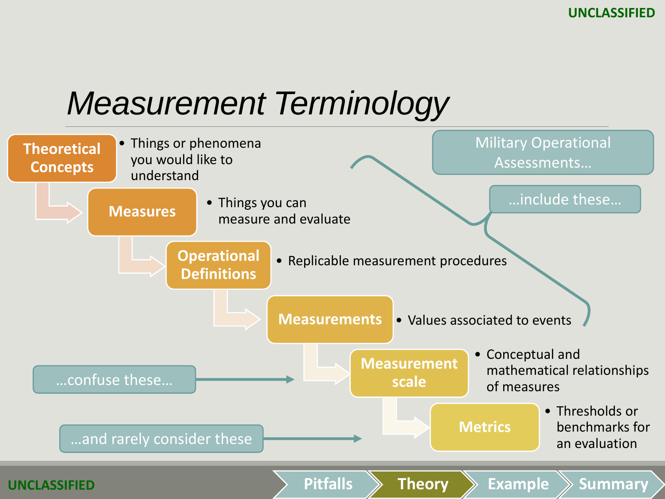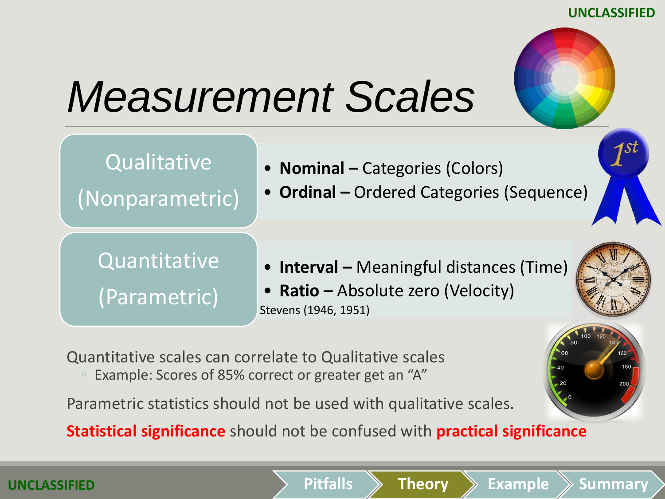**UNCLASSIFIED**



# *Measurement Scales*





Quantitative scales can correlate to Qualitative scales

Example: Scores of 85% correct or greater get an "A"

Parametric statistics should not be used with qualitative scales.

**Statistical significance** should not be confused with **practical significance**

**Pitfalls Theory Example Summary**

**UNCLASSIFIED**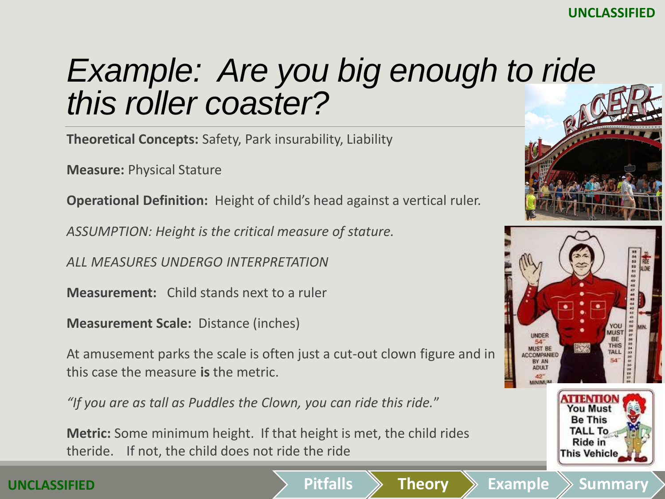### *Example: Are you big enough to ride this roller coaster?*

**Theoretical Concepts:** Safety, Park insurability, Liability

**Measure:** Physical Stature

**Operational Definition:** Height of child's head against a vertical ruler.

*ASSUMPTION: Height is the critical measure of stature.* 

*ALL MEASURES UNDERGO INTERPRETATION*

**Measurement:** Child stands next to a ruler

**Measurement Scale:** Distance (inches)

At amusement parks the scale is often just a cut-out clown figure and in this case the measure **is** the metric.

*"If you are as tall as Puddles the Clown, you can ride this ride.*"

**Metric:** Some minimum height. If that height is met, the child rides theride. If not, the child does not ride the ride



**This Vehicle** 

#### **UNCLASSIFIED**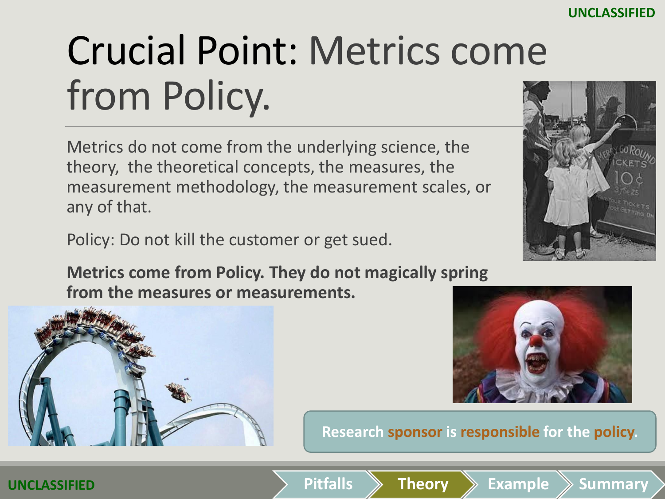# Crucial Point: Metrics come from Policy.

Metrics do not come from the underlying science, the theory, the theoretical concepts, the measures, the measurement methodology, the measurement scales, or any of that.

Policy: Do not kill the customer or get sued.

**Metrics come from Policy. They do not magically spring from the measures or measurements.**

**Research sponsor is responsible for the policy.**





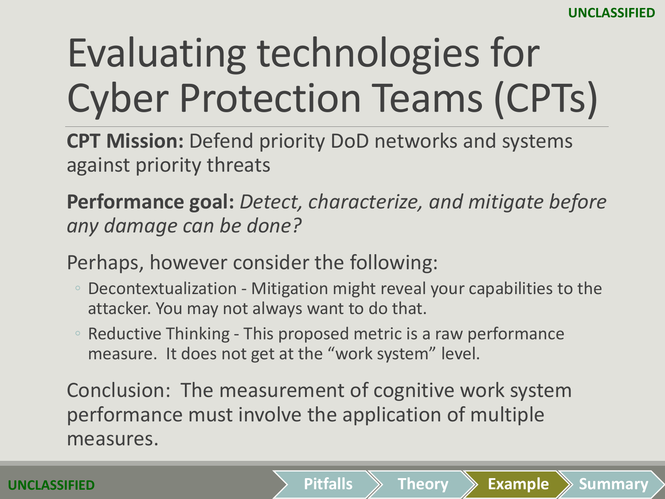# Evaluating technologies for Cyber Protection Teams (CPTs)

**CPT Mission:** Defend priority DoD networks and systems against priority threats

**Performance goal:** *Detect, characterize, and mitigate before any damage can be done?*

Perhaps, however consider the following:

- Decontextualization Mitigation might reveal your capabilities to the attacker. You may not always want to do that.
- Reductive Thinking This proposed metric is a raw performance measure. It does not get at the "work system" level.

Conclusion: The measurement of cognitive work system performance must involve the application of multiple measures.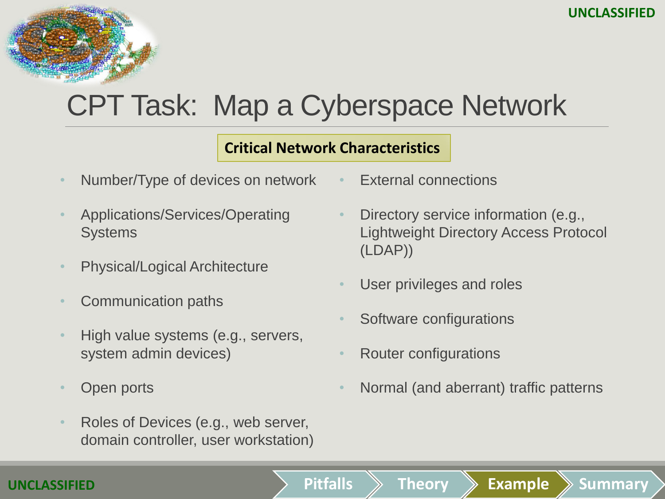## CPT Task: Map a Cyberspace Network

#### **Critical Network Characteristics**

- Number/Type of devices on network
- Applications/Services/Operating **Systems**
- Physical/Logical Architecture
- Communication paths
- High value systems (e.g., servers, system admin devices)
- Open ports
- Roles of Devices (e.g., web server, domain controller, user workstation)
- External connections
- Directory service information (e.g., Lightweight Directory Access Protocol (LDAP))
- User privileges and roles
- Software configurations
- Router configurations
- Normal (and aberrant) traffic patterns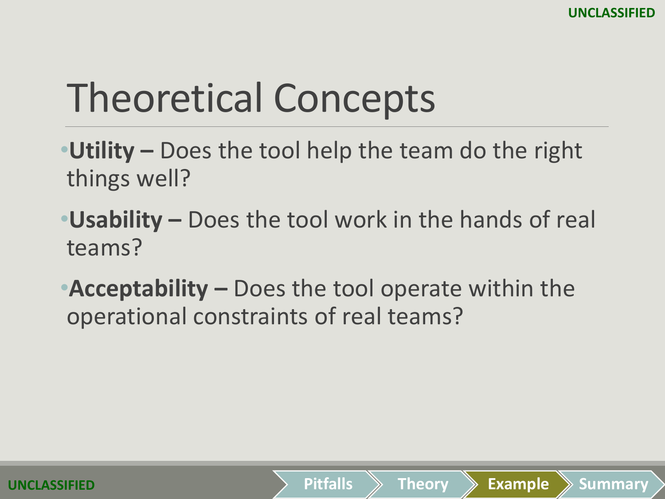## Theoretical Concepts

- •**Utility –** Does the tool help the team do the right things well?
- •**Usability –** Does the tool work in the hands of real teams?
- •**Acceptability –** Does the tool operate within the operational constraints of real teams?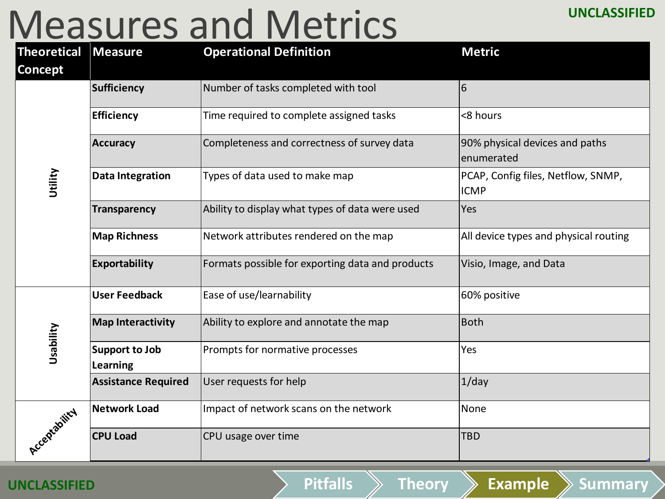### Measures and Metrics

| <b>Theoretical</b><br><b>Concept</b> | <b>Measure</b>                           | <b>Operational Definition</b>                    | <b>Metric</b>                                     |
|--------------------------------------|------------------------------------------|--------------------------------------------------|---------------------------------------------------|
| Utility                              | <b>Sufficiency</b>                       | Number of tasks completed with tool              | 6                                                 |
|                                      | <b>Efficiency</b>                        | Time required to complete assigned tasks         | <8 hours                                          |
|                                      | <b>Accuracy</b>                          | Completeness and correctness of survey data      | 90% physical devices and paths<br>enumerated      |
|                                      | <b>Data Integration</b>                  | Types of data used to make map                   | PCAP, Config files, Netflow, SNMP,<br><b>ICMP</b> |
|                                      | <b>Transparency</b>                      | Ability to display what types of data were used  | Yes                                               |
|                                      | <b>Map Richness</b>                      | Network attributes rendered on the map           | All device types and physical routing             |
|                                      | Exportability                            | Formats possible for exporting data and products | Visio, Image, and Data                            |
| Usability                            | <b>User Feedback</b>                     | Ease of use/learnability                         | 60% positive                                      |
|                                      | <b>Map Interactivity</b>                 | Ability to explore and annotate the map          | <b>Both</b>                                       |
|                                      | <b>Support to Job</b><br><b>Learning</b> | Prompts for normative processes                  | Yes                                               |
|                                      | <b>Assistance Required</b>               | User requests for help                           | $1$ /day                                          |
| Acceptability                        | <b>Network Load</b>                      | Impact of network scans on the network           | None                                              |
|                                      | <b>CPU Load</b>                          | CPU usage over time                              | <b>TBD</b>                                        |

#### **UNCLASSIFIED**

**Pitfalls Theory Example Summary**

**UNCLASSIFIED**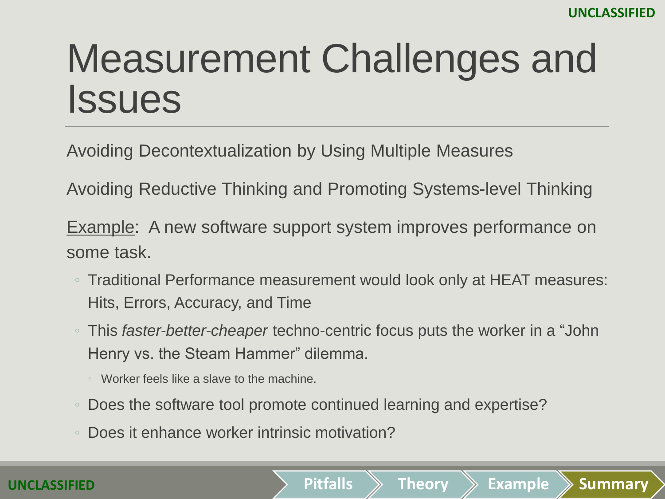### Measurement Challenges and **Issues**

Avoiding Decontextualization by Using Multiple Measures

Avoiding Reductive Thinking and Promoting Systems-level Thinking

Example: A new software support system improves performance on some task.

- Traditional Performance measurement would look only at HEAT measures: Hits, Errors, Accuracy, and Time
- This *faster-better-cheaper* techno-centric focus puts the worker in a "John Henry vs. the Steam Hammer" dilemma.

- Worker feels like a slave to the machine.
- Does the software tool promote continued learning and expertise?
- Does it enhance worker intrinsic motivation?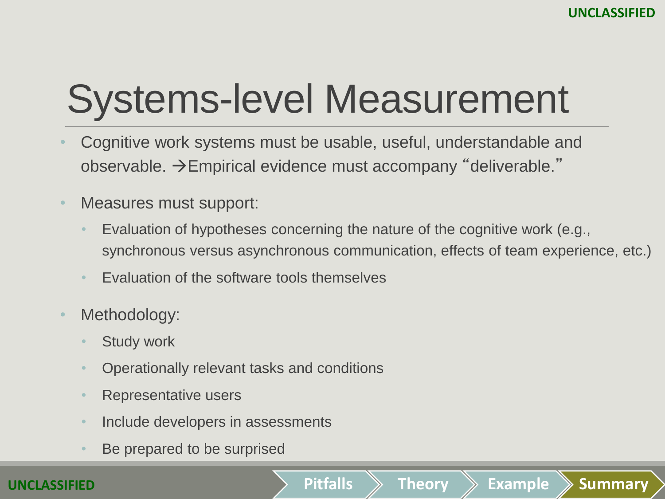# Systems-level Measurement

- Cognitive work systems must be usable, useful, understandable and observable.  $\rightarrow$  Empirical evidence must accompany "deliverable."
- Measures must support:
	- Evaluation of hypotheses concerning the nature of the cognitive work (e.g., synchronous versus asynchronous communication, effects of team experience, etc.)

- Evaluation of the software tools themselves
- Methodology:
	- **Study work**
	- Operationally relevant tasks and conditions
	- Representative users
	- Include developers in assessments
	- Be prepared to be surprised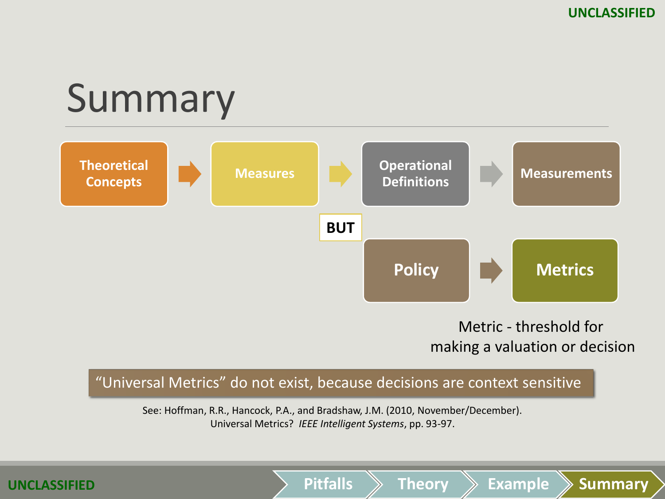### Summary



#### Metric - threshold for making a valuation or decision

**Pitfalls Theory Example Summary**

#### "Universal Metrics" do not exist, because decisions are context sensitive

See: Hoffman, R.R., Hancock, P.A., and Bradshaw, J.M. (2010, November/December). Universal Metrics? *IEEE Intelligent Systems*, pp. 93-97.